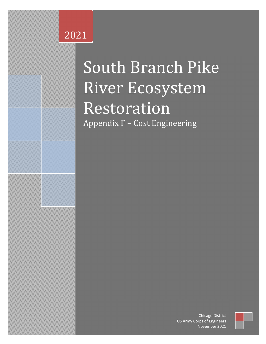# CHICAGO DISTRICT 2021

**Date: 2/12/2021**

**Draft Cost Engineering Appendix** 

# LEADERS IN CUSTOMER CARE  $\blacksquare$  South Branch Pike **AQUATIC ECOSYSTEM RESTORATION PROJECT SECTION 206 DUTCH Restoration LAKER AND Appendix F – Cost Engineering** South Branch Pike River Ecosystem

*Do not Copy For Official Use Only Do not Distribute*

rps or Engineers<br>November 2021 Chicago District US Army Corps of Engineers

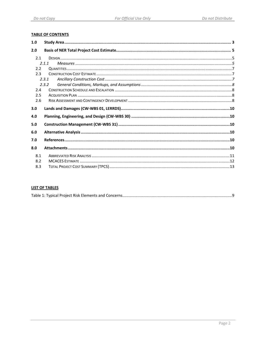### **TABLE OF CONTENTS**

| 1.0 |       |  |
|-----|-------|--|
| 2.0 |       |  |
| 2.1 |       |  |
|     | 2.1.1 |  |
| 2.2 |       |  |
| 2.3 |       |  |
|     | 2.3.1 |  |
|     | 2.3.2 |  |
| 2.4 |       |  |
| 2.5 |       |  |
| 2.6 |       |  |
|     |       |  |
| 3.0 |       |  |
| 4.0 |       |  |
| 5.0 |       |  |
| 6.0 |       |  |
| 7.0 |       |  |
| 8.0 |       |  |
| 8.1 |       |  |
| 8.2 |       |  |

### **LIST OF TABLES**

|--|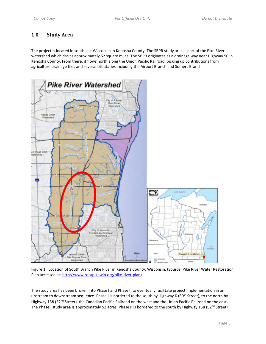# **1.0 Study Area**

The project is located in southeast Wisconsin in Kenosha County. The SBPR study area is part of the Pike River watershed which drains approximately 52 square miles. The SBPR originates as a drainage way near Highway 50 in Kenosha County. From there, it flows north along the Union Pacific Railroad, picking up contributions from agriculture drainage tiles and several tributaries including the Airport Branch and Somers Branch.



Figure 1: Location of South Branch Pike River in Kenosha County, Wisconsin. (Source: Pike River Water Restoration Plan accessed at: http://www.rootpikewin.org/pike-river-plan)

The study area has been broken into Phase I and Phase II to eventually facilitate project implementation in an upstream to downstream sequence. Phase I is bordered to the south by Highway K (60<sup>th</sup> Street), to the north by Highway 158 (52<sup>nd</sup> Street), the Canadian Pacific Railroad on the west and the Union Pacific Railroad on the east. The Phase I study area is approximately 52 acres. Phase II is bordered to the south by Highway 158 (52 $^{nd}$  Street)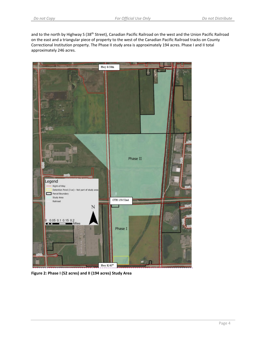and to the north by Highway S (38<sup>th</sup> Street), Canadian Pacific Railroad on the west and the Union Pacific Railroad on the east and a triangular piece of property to the west of the Canadian Pacific Railroad tracks on County Correctional Institution property. The Phase II study area is approximately 194 acres. Phase I and II total approximately 246 acres.



**Figure 2: Phase I (52 acres) and II (194 acres) Study Area**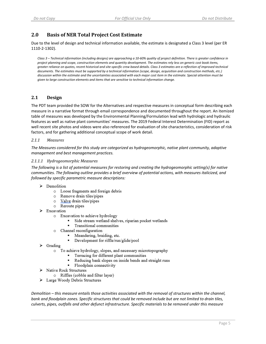# **2.0 Basis of NER Total Project Cost Estimate**

Due to the level of design and technical information available, the estimate is designated a Class 3 level (per ER 1110‐2‐1302).

Class 3 - Technical information (including designs) are approaching a 10-60% quality of project definition. There is greater confidence in project planning and scope, construction elements and quantity development. The estimates rely less on generic cost book items, greater reliance on quotes, recent historical and site-specific crew based details. Class 3 estimates are a reflection of improved technical documents. The estimates must be supported by a technical information (scope, design, acquisition and construction methods, etc.) discussion within the estimate and the uncertainties associated with each major cost item in the estimate. Special attention must be *given to large construction elements and items that are sensitive to technical information change.*

### **2.1 Design**

The PDT team provided the SOW for the Alternatives and respective measures in conceptual form describing each measure in a narrative format through email correspondence and documented throughout the report. An itemized table of measures was developed by the Environmental Planning/Formulation lead with hydrologic and hydraulic features as well as native plant communities' measures. The 2019 Federal Interest Determination (FID) report as well recent site photos and videos were also referenced for evaluation of site characteristics, consideration of risk factors, and for gathering additional conceptual scope of work detail.

### *2.1.1 Measures*

*The Measures considered for this study are categorized as hydrogeomorphic, native plant community, adaptive management and best management practices.*

### *2.1.1.1 Hydrogeomorphic Measures*

The following is a list of potential measures for restoring and creating the hydrogeomorphic setting(s) for native *communities. The following outline provides a brief overview of potential actions, with measures italicized, and followed by specific parametric measure descriptions:*

- > Demolition
	- o Loose fragments and foreign debris
	- o Remove drain tiles/pipes
	- o Valve drain tiles/pipes
	- o Reroute pipes
- $\triangleright$  Excavation
	- o Excavation to achieve hydrology
		- Side stream wetland shelves, riparian pocket wetlands
		- $\blacksquare$ Transitional communities
	- o Channel reconfiguration
		- Meandering, braiding, etc.
		- Development for riffle/run/glide/pool
- $\triangleright$  Grading
	- To achieve hydrology, slopes, and necessary microtopography  $\circ$ 
		- Terracing for different plant communities
		- Reducing bank slopes on inside bends and straight runs
		- Floodplain connectivity
- > Native Rock Structures
	- o Riffles (cobble and filter layer)
- > Large Woody Debris Structures

*Demolition – this measure entails those activities associated with the removal of structures within the channel,* bank and floodplain zones. Specific structures that could be removed include but are not limited to drain tiles, *culverts, pipes, outfalls and other defunct infrastructure. Specific materials to be removed under this measure*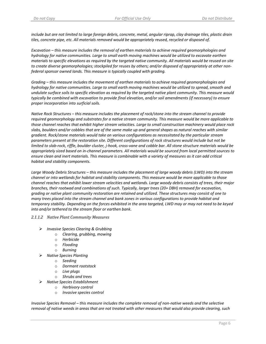include but are not limited to large foreign debris, concrete, metal, angular riprap, clay drainage tiles, plastic drain *tiles, concrete pipe, etc. All materials removed would be appropriately reused, recycled or disposed of.*

*Excavation – this measure includes the removal of earthen materials to achieve required geomorphologies and hydrology for native communities. Large to small earth moving machines would be utilized to excavate earthen* materials to specific elevations as required by the targeted native community. All materials would be reused on site to create diverse geomorphologies; stockpiled for reuses by others; and/or disposed of appropriately at other non*federal sponsor owned lands. This measure is typically coupled with grading.*

*Grading – this measure includes the movement of earthen materials to achieve required geomorphologies and* hydrology for native communities. Large to small earth moving machines would be utilized to spread, smooth and undulate surface soils to specific elevation as required by the targeted native plant community. This measure would typically be combined with excavation to provide final elevation, and/or soil amendments (if necessary) to ensure *proper incorporation into surficial soils.* 

Native Rock Structures - this measure includes the placement of rock/stone into the stream channel to provide *required geomorphology and substrates for a native stream community. This measure would be more applicable to* those channel reaches that exhibit higher stream velocities. Large to small construction machinery would place rock slabs, boulders and/or cobbles that are of the same make up and general shapes as natural reaches with similar *gradient. Rock/stone materials would take on various configurations as necessitated by the particular stream parameters present at the restoration site. Different configurations of rock structures would include but not be* limited to slab-rock, riffle, boulder cluster, j-hook, cross-vane and cobble bar. All stone structure materials would be appropriately sized based on in-channel parameters. All materials would be sourced from local permitted sources to ensure clean and inert materials. This measure is combinable with a variety of measures as it can add critical *habitat and stability components.* 

Large Woody Debris Structures - this measure includes the placement of large woody debris (LWD) into the stream channel or into wetlands for habitat and stability components. This measure would be more applicable to those channel reaches that exhibit lower stream velocities and wetlands. Large woody debris consists of trees, their major *branches, their rootwad and combinations of such. Typically, larger trees (20+ DBH) removed for excavation,* grading or native plant community restoration are retained and utilized. These structures may consist of one to *many trees placed into the stream channel and bank zones in various configurations to provide habitat and* temporary stability. Depending on the forces exhibited in the area targeted, LWD may or may not need to be keyed *into and/or tethered to the stream floor or earthen bank.* 

### *2.1.1.2 Native Plant Community Measures*

- *Invasive Species Clearing & Grubbing*
	- o *Clearing, grubbing, mowing*
	- o *Herbicide*
	- o *Flooding*
	- o *Burning*
- *Native Species Planting*
	- o *Seeding*
	- o *Dormant rootstock*
	- o *Live plugs*
	- o *Shrubs and trees*
- *Native Species Establishment*
	- o *Herbivory control*
	- o *Invasive species control*

Invasive Species Removal - this measure includes the complete removal of non-native weeds and the selective removal of native weeds in areas that are not treated with other measures that would also provide clearing, such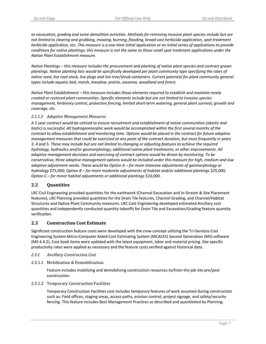as excavation, grading and some demolition activities. Methods for removing invasive plant species include but are not limited to clearing and grubbing, mowing, burning, flooding, broad-cast herbicide application, spot-treatment herbicide application, etc. This measure is a one-time initial application or an initial series of applications to provide conditions for native plantings; this measure is not the same as those small spot treatment applications under the *Native Plant Establishment measure.* 

Native Plantings – this measure includes the procurement and planting of native plant species and contract grown plantings. Native planting lists would be specifically developed per plant community type specifying the rates of native seed, live root stock, live plugs and live tree/shrub containers. Current potential for plant community general *types include aquatic bed, marsh, meadow, prairie, savanna, woodland and forest.*

*Native Plant Establishment – this measure includes those elements required to establish and maintain newly created or restored plant communities. Specific elements include but are not limited to invasive species management, herbivory control, protective fencing, limited short‐term watering, general plant survival, growth and coverage, etc.*

### *2.1.1.3 Adaptive Management Measures*

A 5 year contract would be utilized to ensure recruitment and establishment of native communities (abiotic and *biotic) is successful. All hydrogeomorphic work would be accomplished within the first several months of the* contract to allow establishment and monitoring time. Options would be placed in the contract for future adaptive management measures that could be exercised at any point of the contract duration, but most frequently in years 3, 4 and 5. These may include but are not limited to changing or adjusting features to achieve the required *hydrology, hydraulics and/or geomorphology; additional native plant treatments; or other improvements. All adaptive management decisions and exercising of contract options would be driven by monitoring. To be conservative, three adaptive management options would be included under this measure for high, medium and low adaptive adjustment needs. These would be Option A – for more intensive adjustments of geomorphology or hydrology \$75,000; Option B – for more moderate adjustments of habitat and/or additional plantings \$25,000; Option C – for minor habitat adjustments or additional plantings \$10,000.* 

### **2.2 Quantities**

LRC Civil Engineering provided quantities for the earthwork (Channel Excavation and In‐Stream & Site Placement features), LRC Planning provided quantities for the Drain Tile features, Channel Grading, and Channel/Habitat Structures and Native Plant Community measures. LRC Cost Engineering developed estimated Ancillary cost quantities and independently conducted quantity takeoffs for Drain Tile and Excavation/Grading feature quantity verification.

### **2.3 Construction Cost Estimate**

Significant construction feature costs were developed with the crew concept utilizing the Tri‐Services Cost Engineering System Micro‐Computer Aided Cost Estimating System (MCACES) Second Generation (MII) software (MII 4.4.2). Cost book items were updated with the latest equipment, labor and material pricing. Site specific productivity rates were applied as necessary and the feature costs verified against historical data.

### *2.3.1 Ancillary Construction Cost*

2.3.1.1 Mobilization & Demobilization.

Feature includes mobilizing and demobilizing construction resources to/from the job site pre/post construction.

2.3.1.2 Temporary Construction Facilities

Temporary Construction Facilities cost includes temporary features of work assumed during construction such as: Field offices, staging areas, access paths, erosion control, project signage, and safety/security fencing. This feature includes Best Management Practices as described and quantitated by Planning.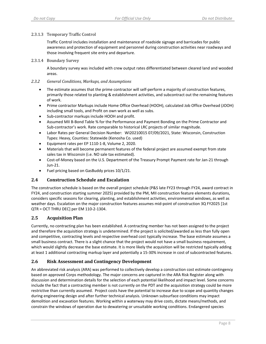### 2.3.1.3 Temporary Traffic Control

Traffic Control includes installation and maintenance of roadside signage and barricades for public awareness and protection of equipment and personnel during construction activities near roadways and those involving frequent site entry and departure.

### 2.3.1.4 Boundary Survey

A boundary survey was included with crew output rates differentiated between cleared land and wooded areas.

### *2.3.2 General Conditions, Markups, and Assumptions*

- The estimate assumes that the prime contractor will self-perform a majority of construction features, primarily those related to planting & establishment activities, and subcontract out the remaining features of work.
- Prime contractor Markups include Home Office Overhead (HOOH), calculated Job Office Overhead (JOOH) including small tools, and Profit on own work as well as subs.
- Sub-contractor markups include HOOH and profit.
- Assumed MII B-Bond Table % for the Performance and Payment Bonding on the Prime Contractor and Sub‐contractor's work. Rate comparable to historical LRC projects of similar magnitude.
- Labor Rates per General Decision Number: WI20210015 07/09/2021, State: Wisconsin, Construction Types: Heavy, Counties: Statewide (Kenosha Co. used)
- Equipment rates per EP 1110‐1‐8, Volume 2, 2020.
- Materials that will become permanent features of the federal project are assumed exempt from state sales tax in Wisconsin (i.e. NO sale tax estimated).
- Cost-of-Money based on the U.S. Department of the Treasury Prompt Payment rate for Jan-21 through Jun‐21.
- Fuel pricing based on GasBuddy prices 10/1/21.

### **2.4 Construction Schedule and Escalation**

The construction schedule is based on the overall project schedule (P&S late FY23 through FY24, award contract in FY24, and construction starting summer 2025) provided by the PM, MII construction feature elements durations, considers specific seasons for clearing, planting, and establishment activities, environmental windows, as well as weather days. Escalation on the major construction features assumes mid-point of construction 3Q FY2025 [1st QTR = OCT THRU DEC] per EM 110‐2‐1304.

### **2.5 Acquisition Plan**

Currently, no contracting plan has been established. A contracting member has not been assigned to the project and therefore the acquisition strategy is undetermined. If the project is solicited/awarded as less than fully open and competitive, contracting levels and respective overhead cost typically increase. The base estimate assumes a small business contract. There is a slight chance that the project would not have a small business requirement, which would slightly decrease the base estimate. It is more likely the acquisition will be restricted typically adding at least 1 additional contracting markup layer and potentially a 15‐30% increase in cost of subcontracted features.

### **2.6 Risk Assessment and Contingency Development**

An abbreviated risk analysis (ARA) was performed to collectively develop a construction cost estimate contingency based on approved Corps methodology. The major concerns are captured in the ARA Risk Register along with discussion and determination details for the selection of each potential likelihood and impact level. Some concerns include the fact that a contracting member is not currently on the PDT and the acquisition strategy could be more restrictive than currently assumed. Project costs have the potential to increase due to scope and quantity changes during engineering design and after further technical analysis. Unknown subsurface conditions may impact demolition and excavation features. Working within a waterway may drive costs, dictate means/methods, and constrain the windows of operation due to dewatering or unsuitable working conditions. Endangered species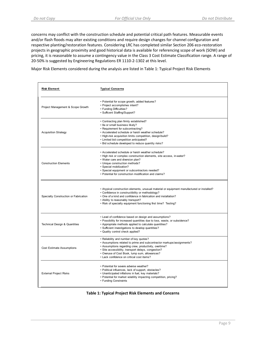concerns may conflict with the construction schedule and potential critical path features. Measurable events and/or flash floods may alter existing conditions and require design changes for channel configuration and respective planting/restoration features. Considering LRC has completed similar Section 206 eco‐restoration projects in geographic proximity and good historical data is available for referencing scope of work (SOW) and pricing, it is reasonable to assume a contingency value in the Class 3 Cost Estimate Classification range. A range of 20‐50% is suggested by Engineering Regulations ER 1110‐2‐1302 at this level.

Major Risk Elements considered during the analysis are listed in Table 1: Typical Project Risk Elements

| Risk Element                             | <b>Typical Concerns</b>                                                                                                                                                                                                                                                                                                              |
|------------------------------------------|--------------------------------------------------------------------------------------------------------------------------------------------------------------------------------------------------------------------------------------------------------------------------------------------------------------------------------------|
| Project Management & Scope Growth        | • Potential for scope growth, added features?<br>• Project accomplishes intent?<br>• Funding Difficulties?<br>• Sufficent Staffing/Support?                                                                                                                                                                                          |
| <b>Acquisition Strategy</b>              | • Contracting plan firmly established?<br>• 8a or small business likely?<br>• Requirement for subcontracting?<br>• Accelerated schedule or harsh weather schedule?<br>• High-risk acquisition limits competition, design/build?<br>• Limited bid competition anticipated?<br>• Bid schedule developed to reduce quantity risks?      |
| <b>Construction Elements</b>             | • Accelerated schedule or harsh weather schedule?<br>• High risk or complex construction elements, site access, in-water?<br>• Water care and diversion plan?<br>• Unique construction methods?<br>· Special mobilization?<br>· Special equipment or subcontractors needed?<br>• Potential for construction modification and claims? |
| Specialty Construction or Fabrication    | • Atypical construction elements, unusual material or equipment manufactured or installed?<br>• Confidence in constructibility or methodology?<br>• One of a kind and confidence in fabrication and installation?<br>• Ability to reasonably transport?<br>. Risk of specialty equipment functioning first time? Testing?            |
| <b>Technical Design &amp; Quantities</b> | • Level of confidence based on design and assumptions?<br>. Possibility for increased quantities due to loss, waste, or subsidence?<br>• Appropriate methods applied to calculate quantities?<br>· Sufficient investigations to develop quantities?<br>• Quality control check applied?                                              |
| <b>Cost Estimate Assumptions</b>         | . Reliability and number of key quotes?<br>• Assumptions related to prime and subcontractor markups/assignments?<br>• Assumptions regarding crew, productivity, overtime?<br>· Site accessibility, transport delays, congestion?<br>• Overuse of Cost Book, lump sum, allowances?<br>• Lack confidence on critical cost items?       |
| <b>External Project Risks</b>            | • Potential for severe adverse weather?<br>• Political influences, lack of support, obstacles?<br>• Unanticipated inflations in fuel, key materials?<br>• Potential for market volatility impacting competition, pricing?<br>• Funding Constraints                                                                                   |

| <b>Table 1: Typical Project Risk Elements and Concerns</b> |  |  |  |
|------------------------------------------------------------|--|--|--|
|------------------------------------------------------------|--|--|--|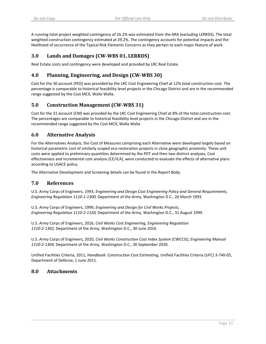A running total project weighted contingency of 26.2% was estimated from the ARA (excluding LERRDS). The total weighted construction contingency estimated at 29.2%. The contingency accounts for potential impacts and the likelihood of occurrence of the Typical Risk Elements Concerns as they pertain to each major feature of work.

# **3.0 Lands and Damages (CW‐WBS 01, LERRDS)**

Real Estate costs and contingency were developed and provided by LRC Real Estate.

# **4.0 Planning, Engineering, and Design (CW‐WBS 30)**

Cost for the 30 account (PED) was provided by the LRC Cost Engineering Chief at 12% total construction cost. The percentage is comparable to historical feasibility level projects in the Chicago District and are in the recommended range suggested by the Cost MCX, Walla Walla.

## **5.0 Construction Management (CW‐WBS 31)**

Cost for the 31 account (CM) was provided by the LRC Cost Engineering Chief at 8% of the total construction cost. The percentages are comparable to historical feasibility level projects in the Chicago District and are in the recommended range suggested by the Cost MCX, Walla Walla

## **6.0 Alternative Analysis**

For the Alternatives Analysis, the Cost of Measures comprising each Alternative were developed largely based on historical parametric cost of similarly scoped eco-restoration projects in close geographic proximity. These unit costs were applied to preliminary quantities determined by the PDT and then two distinct analyses, Cost effectiveness and incremental cost analysis (CE/ICA), were conducted to evaluate the effects of alternative plans according to USACE policy.

The Alternative Development and Screening details can be found in the Report Body.

## **7.0 References**

U.S. Army Corps of Engineers, 1993, *Engineering and Design Cost Engineering Policy and General Requirements, Engineering Regulation 1110‐1‐1300,* Department of the Army, Washington D.C., 26 March 1993.

U.S. Army Corps of Engineers, 1999, *Engineering and Design for Civil Works Projects, Engineering Regulation 1110‐2‐1150,* Department of the Army, Washington D.C., 31 August 1999.

U.S. Army Corps of Engineers, 2016, *Civil Works Cost Engineering, Engineering Regulation 1110‐2‐1302,* Department of the Army, Washington D.C., 30 June 2016.

U.S. Army Corps of Engineers, 2020, *Civil Works Construction Cost Index System (CWCCIS), Engineering Manual 1110‐2‐1304,* Department of the Army, Washington D.C., 30 September 2020.

Unified Facilities Criteria, 2011, *Handbook: Construction Cost Estimating,* Unified Facilities Criteria (UFC) 3‐740‐05, Department of Defense, 1 June 2011.

### **8.0 Attachments**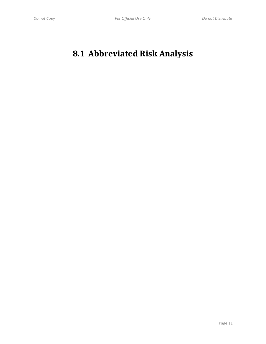# **8.1 Abbreviated Risk Analysis**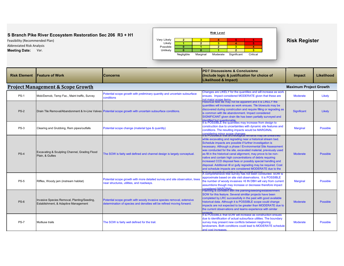Abbreviated Risk Analysis



| <b>Feature of Work</b>                                                              | <b>Concerns</b>                                                                                                                                 | <b>PDT Discussions &amp; Conclusions</b><br>(Include logic & justification for choice of<br><b>Likelihood &amp; Impact)</b>                                                                                                                                                                                                                                                                                                                                                                                                                                                                   | Impact                                                                                                                                                                                                                                                                                                                                                                                                                             | Likelihood      |
|-------------------------------------------------------------------------------------|-------------------------------------------------------------------------------------------------------------------------------------------------|-----------------------------------------------------------------------------------------------------------------------------------------------------------------------------------------------------------------------------------------------------------------------------------------------------------------------------------------------------------------------------------------------------------------------------------------------------------------------------------------------------------------------------------------------------------------------------------------------|------------------------------------------------------------------------------------------------------------------------------------------------------------------------------------------------------------------------------------------------------------------------------------------------------------------------------------------------------------------------------------------------------------------------------------|-----------------|
|                                                                                     |                                                                                                                                                 |                                                                                                                                                                                                                                                                                                                                                                                                                                                                                                                                                                                               | <b>Maximum Project Growth</b>                                                                                                                                                                                                                                                                                                                                                                                                      |                 |
| Mob/Demob, Temp Fac., Maint traffic, Survey                                         | Potential scope growth with preliminary quantity and uncertain subsurface<br>conditions                                                         | Changes are LIKELY for the quantities and will increase as work<br>ensues. Impact considered MODERATE given that these are<br>not major scope items.                                                                                                                                                                                                                                                                                                                                                                                                                                          | <b>Moderate</b>                                                                                                                                                                                                                                                                                                                                                                                                                    | Likely          |
|                                                                                     |                                                                                                                                                 | quantities will increase as work ensues. Tile blowouts may be<br>discovered during constrcution and require filling or regrading as<br>is common with tile abandonment. Impact considered<br>SIGNIFICANT given drain tile has been partially surveyed and<br>dentified but questionable                                                                                                                                                                                                                                                                                                       | <b>Significant</b>                                                                                                                                                                                                                                                                                                                                                                                                                 | Likely          |
| Clearing and Grubbing, Rem pipes/outfalls                                           | Potential scope change (material type & quantity)                                                                                               | construction due to uncertainties with dynamic site features and<br>conditions. The resulting impacts would be MARGINAL                                                                                                                                                                                                                                                                                                                                                                                                                                                                       | <b>Marginal</b>                                                                                                                                                                                                                                                                                                                                                                                                                    | <b>Possible</b> |
| Excavating & Sculpting Channel, Grading Flood<br>Plain, & Gullies                   | The SOW is fairly well defined and channel design is largely conceptual.                                                                        | while excavating and regrading near a historical stream bed.<br>Schedule impacts are possible if further investigation is<br>necessary. Although a phase I Environmental Site Assessment<br>was conducted for the site, excavated material, previously used<br>as fill in the historical canal alignment, may prove to be non-<br>native and contain high concentrations of debris requiring<br>increased CCD disposal fees or possibly special handling and<br>disposal. Additional rill or gully regrading may be required. Cost<br>and schedule impacts are considered MODERATE due to the | <b>Moderate</b>                                                                                                                                                                                                                                                                                                                                                                                                                    | <b>Possible</b> |
| Riffles, Woody jam (instream habitat)                                               | Potential scope growth with more detailed survey and site observation, trees<br>near structures, utilities, and roadways.                       | approximate based on site visit observations. It is POSSIBLE<br>the number of woody invasives >6 IN DBH will vary from current<br>assumtions though may increase or decrease therefore impact<br>considered MARGINAL                                                                                                                                                                                                                                                                                                                                                                          | <b>Marginal</b>                                                                                                                                                                                                                                                                                                                                                                                                                    | <b>Possible</b> |
| Invasive Species Removal, Planting/Seeding,<br>Establishment, & Adaptive Management | Potential scope growth with woody invasive species removal, extensive<br>determination of species and densities will be refined moving forward. | SOW for this feature. Several simililar projects have been<br>completed by LRC successfully in the past with good available<br>historical data. Although it is POSSIBLE scope could change<br>impacts are not expected to be greater than MODERATE due to<br>the current observations and teams experience with similar<br>mients                                                                                                                                                                                                                                                             | <b>Moderate</b>                                                                                                                                                                                                                                                                                                                                                                                                                    | <b>Possible</b> |
| Multiuse trails                                                                     | The SOW is fairly well defined for the trail.                                                                                                   | due to identification of actual subsurface utilities. The boundary<br>survey may present new conflicts between neigboring<br>landowners. Both conditions could lead to MODERATE schedule<br>and cost increases                                                                                                                                                                                                                                                                                                                                                                                | <b>Moderate</b>                                                                                                                                                                                                                                                                                                                                                                                                                    | <b>Possible</b> |
|                                                                                     | <b>Project Management &amp; Scope Growth</b>                                                                                                    | Drain Tile Removal/Abandonment & In-Line Valves Potential scope growth with uncertain subsurface conditions.                                                                                                                                                                                                                                                                                                                                                                                                                                                                                  | Historical field tile may not be apparent and it is LIKELY the<br>It is POSSIBLE the quantities may increase from design to<br><u>considering minor scope changes</u><br>it19 POSSIBLE triat archeological remants may be uneartned<br>A comprehensive tree survey has not been conducted. SOW is<br>Planning is confident with the planting/seeding/establishment<br>It is POSSIBLE that SOW will increase as construction ensues |                 |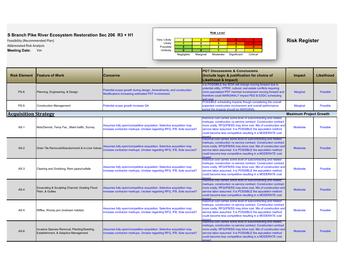Abbreviated Risk Analysis



| <b>Risk Element</b>         | <b>Feature of Work</b>                                                              | <b>Concerns</b>                                                                                                                                 | <b>PDT Discussions &amp; Conclusions</b><br>(Include logic & justification for choice of<br>Likelihood & Impact)                                                                                                                                                                                                                               | Impact                        | Likelihood      |
|-----------------------------|-------------------------------------------------------------------------------------|-------------------------------------------------------------------------------------------------------------------------------------------------|------------------------------------------------------------------------------------------------------------------------------------------------------------------------------------------------------------------------------------------------------------------------------------------------------------------------------------------------|-------------------------------|-----------------|
| <b>PS-8</b>                 | Planning, Engineering, & Design                                                     | Potential scope growth during design, Amendments, and construction<br>Modifications increasing estimated PDT involvement.                       | It is POSSIBLE the SOW will change moving forward due to<br>potential utility, HTRW, cultural, real estate conflicts requiring<br>more specialized PDT member involvement moving forward and<br>therefore could MARGINALY impact PED & EDDC scheduling<br>and cost                                                                             | <b>Marginal</b>               | <b>Possible</b> |
| $PS-9$                      | <b>Construction Management</b>                                                      | Potential scope growth increase QA                                                                                                              | POSSIBLE scheduling impacts though considering the overall<br>expected construction involvement and overall performance<br>period the impacts should be MARGINAL                                                                                                                                                                               | <b>Marginal</b>               | <b>Possible</b> |
| <b>Acquisition Strategy</b> |                                                                                     |                                                                                                                                                 |                                                                                                                                                                                                                                                                                                                                                | <b>Maximum Project Growth</b> |                 |
| $AS-1$                      | Mob/Demob, Temp Fac., Maint traffic, Survey                                         | Assumes fully open/competitive acquisition. Selective acquisition may<br>increase contractor markups. Unclear regarding RFQ, IFB, Sole sourced? | istorical cost carries some level of subcontracting and related<br>markups, construction vs service contract. Construction contract<br>more costly. RFQ/IFB/SS may drive cost. Mix of construction and<br>service labor assumed. It is POSSIBLE the agcuisition method<br>could become less competitive resulting in a MODERATE cost<br>mnact  | <b>Moderate</b>               | <b>Possible</b> |
| $AS-2$                      | Drain Tile Removal/Abandonment & In-Line Valves                                     | Assumes fully open/competitive acquisition. Selective acquisition may<br>ncrease contractor markups. Unclear regarding RFQ, IFB, Sole sourced?  | istorical cost carries some level of subcontracting and related<br>markups, construction vs service contract. Construction contract<br>more costly. RFQ/IFB/SS may drive cost. Mix of construction and<br>service labor assumed. It is POSSIBLE the agcuisition method<br>could become less competitive resulting in a MODERATE cost<br>mpact. | <b>Moderate</b>               | <b>Possible</b> |
| $AS-3$                      | Clearing and Grubbing, Rem pipes/outfalls                                           | Assumes fully open/competitive acquisition. Selective acquisition may<br>increase contractor markups. Unclear regarding RFQ, IFB, Sole sourced? | istorical cost carries some level of subcontracting and related<br>markups, construction vs service contract. Construction contract<br>more costly. RFQ/IFB/SS may drive cost. Mix of construction and<br>service labor assumed. It is POSSIBLE the aqcuisition method<br>could become less competitive resulting in a MODERATE cost<br>mnact  | <b>Moderate</b>               | <b>Possible</b> |
| $AS-4$                      | Excavating & Sculpting Channel, Grading Flood<br>Plain, & Gullies                   | Assumes fully open/competitive acquisition. Selective acquisition may<br>increase contractor markups. Unclear regarding RFQ, IFB, Sole sourced? | nistorical cost carries some level of subcontracting and related<br>markups, construction vs service contract. Construction contract<br>more costly. RFQ/IFB/SS may drive cost. Mix of construction and<br>service labor assumed. It is POSSIBLE the agcuisition method<br>could become less competitive resulting in a MODERATE cost<br>mnact | <b>Moderate</b>               | <b>Possible</b> |
| $AS-5$                      | Riffles, Woody jam (instream habitat)                                               | Assumes fully open/competitive acquisition. Selective acquisition may<br>increase contractor markups. Unclear regarding RFQ, IFB, Sole sourced? | istorical cost carries some level of subcontracting and related<br>markups, construction vs service contract. Construction contract<br>more costly. RFQ/IFB/SS may drive cost. Mix of construction and<br>service labor assumed. It is POSSIBLE the aqcuisition method<br>could become less competitive resulting in a MODERATE cost<br>mnact  | <b>Moderate</b>               | <b>Possible</b> |
| $AS-6$                      | Invasive Species Removal, Planting/Seeding,<br>Establishment, & Adaptive Management | Assumes fully open/competitive acquisition. Selective acquisition may<br>increase contractor markups. Unclear regarding RFQ, IFB, Sole sourced? | istorical cost carries some level of subcontracting and related<br>markups, construction vs service contract. Construction contract<br>more costly. RFQ/IFB/SS may drive cost. Mix of construction and<br>service labor assumed. It is POSSIBLE the agcuisition method<br>could become less competitive resulting in a MODERATE cost<br>mnact  | <b>Moderate</b>               | <b>Possible</b> |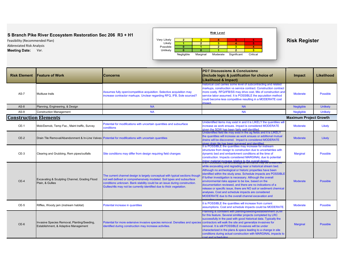Abbreviated Risk Analysis



| <b>Risk Element</b>          | <b>Feature of Work</b>                                                                                                                                                                                                                                                                                            | <b>Concerns</b>                                                                                                                                                                                                                                                                                                | <b>Impact</b>                                                                                                                                                                                                                                                                                                                                                                                                                                                                                                                                                    | Likelihood                    |                 |
|------------------------------|-------------------------------------------------------------------------------------------------------------------------------------------------------------------------------------------------------------------------------------------------------------------------------------------------------------------|----------------------------------------------------------------------------------------------------------------------------------------------------------------------------------------------------------------------------------------------------------------------------------------------------------------|------------------------------------------------------------------------------------------------------------------------------------------------------------------------------------------------------------------------------------------------------------------------------------------------------------------------------------------------------------------------------------------------------------------------------------------------------------------------------------------------------------------------------------------------------------------|-------------------------------|-----------------|
| $AS-7$                       | Multiuse trails                                                                                                                                                                                                                                                                                                   | Assumes fully open/competitive acquisition. Selective acquisition may<br>increase contractor markups. Unclear regarding RFQ, IFB, Sole sourced?                                                                                                                                                                | historical cost carries some level of subcontracting and related<br>markups, construction vs service contract. Construction contract<br>more costly. RFQ/IFB/SS may drive cost. Mix of construction and<br>service labor assumed. It is POSSIBLE the agcuisition method<br>could become less competitive resulting in a MODERATE cost<br>nnact                                                                                                                                                                                                                   |                               | <b>Possible</b> |
| $AS-8$                       | Planning, Engineering, & Design                                                                                                                                                                                                                                                                                   | <b>NA</b>                                                                                                                                                                                                                                                                                                      | <b>NA</b>                                                                                                                                                                                                                                                                                                                                                                                                                                                                                                                                                        | Negligible                    | <b>Unlikely</b> |
| $AS-9$                       | <b>Construction Management</b>                                                                                                                                                                                                                                                                                    | <b>NA</b>                                                                                                                                                                                                                                                                                                      | <b>NA</b>                                                                                                                                                                                                                                                                                                                                                                                                                                                                                                                                                        | <b>Negligible</b>             | <b>Unlikely</b> |
| <b>Construction Elements</b> |                                                                                                                                                                                                                                                                                                                   |                                                                                                                                                                                                                                                                                                                |                                                                                                                                                                                                                                                                                                                                                                                                                                                                                                                                                                  | <b>Maximum Project Growth</b> |                 |
| $CE-1$                       | Mob/Demob, Temp Fac., Maint traffic, Survey                                                                                                                                                                                                                                                                       | Potential for modifications with uncertain quantities and subsurface<br>conditions                                                                                                                                                                                                                             | Unidentified items may exist in and it is LIKELY the quantities will<br>increase as work ensues. Impact is considered MODERATE<br>given the SOW has been fairly well identified                                                                                                                                                                                                                                                                                                                                                                                  | <b>Moderate</b>               | Likely          |
| $CE-2$                       |                                                                                                                                                                                                                                                                                                                   | Drain Tile Removal/Abandonment & In-Line Valves Potential for modifications with uncertain quantities                                                                                                                                                                                                          | Unidentified field tile may exist in the ag fields and it is LIKELY<br>the quantities will increase as work ensues or additional mutual<br>drains will be discovered. Impact is considered MODERATE<br>aiven drain tile has been surveved and identified.                                                                                                                                                                                                                                                                                                        | <b>Moderate</b>               | Likely          |
| $CE-3$                       | Clearing and Grubbing, Rem pipes/outfalls                                                                                                                                                                                                                                                                         | Site conditions may differ from design requiring field changes                                                                                                                                                                                                                                                 | It is POSSIBLE the quantities may increase for instream<br>structures from design to construction due to uncertainties with<br>dynamic bed and embankment conditions at the time of<br>construction. Impacts considered MARGINAL due to potential<br>minor material increase relative to the overall design.<br><u>t is POSSibLE that archeological remnants may be unearthed</u>                                                                                                                                                                                | <b>Marginal</b>               | <b>Possible</b> |
| $CE-4$                       | Excavating & Sculpting Channel, Grading Flood<br>Plain, & Gullies                                                                                                                                                                                                                                                 | The current channel design is largely conceptual with typical sections though<br>not well defined or comprehensively modeled. Soil types and subsurface<br>conditions unknown. Bank stability could be an issue during construction.<br>Gullies/rills may not be currently identified due to thick vegetation. | while excavating and regrading near a historical stream bed.<br>Although no archeological or historic properties have been<br>identified within the study area. Schedule impacts are POSSIBLE<br>If further investigation is necessary. Although the overall<br>environmental risks appear to be low, based on the<br>documentation reviewed, and there are no indications of a<br>release or specific issue, there are NO soil or sediment chemical<br>analyses. Cost and schedule impacts are considered<br>MODERATE due to the overall channel excavation and | <b>Moderate</b>               | <b>Possible</b> |
| $CE-5$                       | Riffles, Woody jam (instream habitat)                                                                                                                                                                                                                                                                             | Potential increase in quantities                                                                                                                                                                                                                                                                               | It is POSSIBLE the quantities will increase from current<br>assumptions. Cost and schedule impacts could be MODERATE.                                                                                                                                                                                                                                                                                                                                                                                                                                            | <b>Moderate</b>               | <b>Possible</b> |
| $CE-6$                       | Potential for more extensive invasive species removal. Densities and species contractors will walk the site and generalize invasives for<br>Invasive Species Removal, Planting/Seeding,<br>Establishment, & Adaptive Management<br>identified during construction may increase activities.<br>post and scheduling |                                                                                                                                                                                                                                                                                                                | Planning is confident with planting/seeding/establishment SOW<br>for this feature. Several simililar projects completed by LRC<br>successfully in the past with good historical data. Typically the<br>removal. It is still POSSIBLE invasives will be under<br>characterized in the plans & specs leading to a change in site<br>conditions during actual construction with MARGINAL impacts to                                                                                                                                                                 | <b>Marginal</b>               | <b>Possible</b> |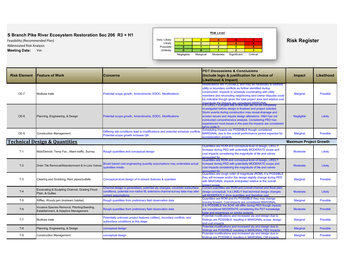Abbreviated Risk Analysis



| <b>Risk Element</b> | <b>Feature of Work</b>                                                              | <b>PDT Discussions &amp; Conclusions</b><br>(Include logic & justification for choice of<br><b>Concerns</b><br>Likelihood & Impact)                                                  |                                                                                                                                                                                                                                                                                                                                                                                                              | Impact                        | Likelihood      |
|---------------------|-------------------------------------------------------------------------------------|--------------------------------------------------------------------------------------------------------------------------------------------------------------------------------------|--------------------------------------------------------------------------------------------------------------------------------------------------------------------------------------------------------------------------------------------------------------------------------------------------------------------------------------------------------------------------------------------------------------|-------------------------------|-----------------|
| CE-7                | Multiuse trails                                                                     | Potential scope growth, Amendments, EDDC, Modifications                                                                                                                              | Modifications are POSSIBLE and may be necessary to address<br>utility or boundary conflicts as further identified during<br>construction. Impacts to schedule coordinating with utility<br>members and reconciling neighboring land owner disputes could<br>be noticable though given the total project area and relative cost<br>magnifude the impacts are considered MARGINAL                              | <b>Marginal</b>               | <b>Possible</b> |
| $CE-8$              | Planning, Engineering, & Design                                                     | Potential scope growth, Amendments, EDDC, Modifications                                                                                                                              | It is LIKELY a project site of this size will not be completely<br>investigated before design is finalized and project solicited.<br>Storm events during construction may reveal drainage and<br>erosion issues and require design alterations. H&H has not<br>conducted comprehensive analysis. Considering PED has<br>experienced most issues in the past the impacts are considered<br><b>NEGLIGIRI E</b> | <b>Negligible</b>             | Likely          |
| $CE-9$              | <b>Construction Management</b>                                                      | Differing site conditions lead to modifications and potential schedule conflicts<br>Potential scope growth increase QA                                                               | Scheduling impacts are POSSIBLE though considered<br>MARGINAL due to the overall performance period expected for<br>ecorestoration projects.                                                                                                                                                                                                                                                                 | <b>Marginal</b>               | <b>Possible</b> |
|                     | <b>Technical Design &amp; Quantities</b>                                            |                                                                                                                                                                                      |                                                                                                                                                                                                                                                                                                                                                                                                              | <b>Maximum Project Growth</b> |                 |
| $T-1$               | Mob/Demob, Temp Fac., Maint traffic, Survey                                         | Rough quantities and conceptual design                                                                                                                                               | Quantities are ROM and conceptual level of design, LIKELY<br>increase during PED with potentially MODERATE scope and<br>cost impacts considering the magnitude of tile and valves<br>accounted for.                                                                                                                                                                                                          | <b>Moderate</b>               | Likely          |
| $T-2$               | Drain Tile Removal/Abandonment & In-Line Valves                                     | Broad based cost engineering quantity assumptions may understate actual<br>quantities onsite.                                                                                        | Quantities are ROM and conceptual level of design, LIKELY<br>increase during PED with potentially MODERATE scope and<br>cost impacts considering the magnitude of tile and valves<br>accounted for.                                                                                                                                                                                                          | <b>Moderate</b>               | Likely          |
| $T-3$               | Clearing and Grubbing, Rem pipes/outfalls                                           | Conceptual level design of in-stream features & quanities                                                                                                                            | Quantities are rough order of magnitude (ROM), it is POSSIBLE<br>they will increase and/or the design slightly change during PED<br>with MARGINAL impacts anticipated relative to the overall<br>project scope                                                                                                                                                                                               | <b>Marginal</b>               | <b>Possible</b> |
| $T-4$               | Excavating & Sculpting Channel, Grading Flood<br>Plain, & Gullies                   | Channel design is generalized, potential qty changes, uncertain subsurface<br>conditions, potential non-native fill, extensive channel survey data may alter<br>current assumptions. | Current quantities are ROM and overall channel and flood plain<br>design conceptual. It is LIKELY that technical design changes<br>will MODERATLY drive quantities and therefore cost.                                                                                                                                                                                                                       | <b>Moderate</b>               | Likely          |
| $T-5$               | Riffles, Woody jam (instream habitat)                                               | Rough quantities from preliminary field observation data                                                                                                                             | Quantities are ROM and it's POSSIBLE they may change<br>moving forward. Cost impacts are considered MARGINAL                                                                                                                                                                                                                                                                                                 | <b>Marginal</b>               | <b>Possible</b> |
| $T-6$               | Invasive Species Removal, Planting/Seeding,<br>Establishment, & Adaptive Management | Rough quantities from preliminary field observation data                                                                                                                             | It is POSSIBLE the SOW will differ during PED though inpacts<br>are considered MODERATE considering the PDT knowledge<br>base and experience on similar projects                                                                                                                                                                                                                                             | <b>Moderate</b>               | <b>Possible</b> |
| $T-7$               | Multiuse trails                                                                     | Potentially unknown project features (utilties), boundary conflicts, and<br>subsurface conditions at this stage                                                                      | Potential modifications and increased gty and design due to<br>findings are POSSIBLE resulting in MARGINAL scope, design,<br>and cost impacts.                                                                                                                                                                                                                                                               | <b>Marginal</b>               | <b>Possible</b> |
| $T-8$               | Planning, Engineering, & Design                                                     | conceptual design                                                                                                                                                                    | Potential modifications and increased qty and design due to<br>findings are POSSIBLE resulting in MARGINAL PED impacts                                                                                                                                                                                                                                                                                       | <b>Marginal</b>               | <b>Possible</b> |
| $T-9$               | <b>Construction Management</b>                                                      | conceptual design                                                                                                                                                                    | Potential modifications and increased qty and design due to<br>findings are POSSIBLE resulting in MARGINAL CM impacts.                                                                                                                                                                                                                                                                                       | <b>Marginal</b>               | <b>Possible</b> |
|                     |                                                                                     |                                                                                                                                                                                      |                                                                                                                                                                                                                                                                                                                                                                                                              |                               |                 |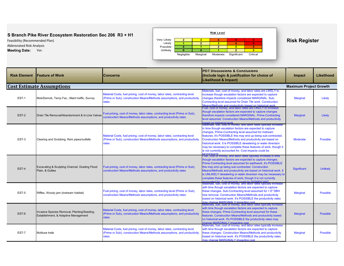Abbreviated Risk Analysis



| <b>Risk Element</b> | <b>Feature of Work</b>                                                              | <b>PDT Discussions &amp; Conclusions</b><br>(Include logic & justification for choice of<br><b>Concerns</b><br>Likelihood & Impact)                                                                                                                                                                                                                                                                                             |                                                                                                                                                                                                                                                                                                                                                                                                                                                                                                                               | Impact                        | <b>Likelihood</b> |
|---------------------|-------------------------------------------------------------------------------------|---------------------------------------------------------------------------------------------------------------------------------------------------------------------------------------------------------------------------------------------------------------------------------------------------------------------------------------------------------------------------------------------------------------------------------|-------------------------------------------------------------------------------------------------------------------------------------------------------------------------------------------------------------------------------------------------------------------------------------------------------------------------------------------------------------------------------------------------------------------------------------------------------------------------------------------------------------------------------|-------------------------------|-------------------|
|                     | <b>Cost Estimate Assumptions</b>                                                    |                                                                                                                                                                                                                                                                                                                                                                                                                                 |                                                                                                                                                                                                                                                                                                                                                                                                                                                                                                                               | <b>Maximum Project Growth</b> |                   |
| EST-1               | Mob/Demob, Temp Fac., Maint traffic, Survey                                         | Material Costs, fuel pricing, cost of money, labor rates, contracting level<br>(Prime or Sub), construction Means/Methods assumptions, and productivity<br>rates                                                                                                                                                                                                                                                                | Materials, fuel, cost of money, and labor rates are LIKELY to<br>increase though escalation factors are expected to capture<br>changes therefore impacts considered MARGINAL. Sub-<br>Contracting level assumed for Drain Tile work. Construction<br><b>Jeans/Methods and productivity based on historical work</b>                                                                                                                                                                                                           | <b>Marginal</b>               | Likely            |
| EST-2               | Drain Tile Removal/Abandonment & In-Line Valves                                     | Fuel, cost of money, and labor rates are LIKELY to increase<br>though escalation factors are expected to capture changes<br>Fuel pricing, cost of money, labor rates, contracting level (Prime or Sub),<br>therefore impacts considered MARGINAL. Prime-Contracting<br>construction Means/Methods assumptions, and productivity rates<br>level assumed. Construction Means/Methods and productivity<br>ased on historical work. |                                                                                                                                                                                                                                                                                                                                                                                                                                                                                                                               | <b>Marginal</b>               | Likely            |
| EST-3               | Clearing and Grubbing, Rem pipes/outfalls                                           | Material Costs, fuel pricing, cost of money, labor rates, contracting level<br>(Prime or Sub), construction Means/Methods assumptions, and productivity<br>rates                                                                                                                                                                                                                                                                | vaterials, fuel, cost of money, and labor rates typically increase<br>in time though escalation factors are expected to capture<br>changes. Prime-Contracting level assumed for instream<br>features, it's POSSIBLE this may end up being sub-contracted.<br>Construction Means/Methods and productivity are based on<br>historical work. It is POSSIBLE dewatering or water diversion<br>may be necessary to complete these features of work, though it<br>is not currently accounted for. Cost impacts could be<br>MODERATE | <b>Moderate</b>               | <b>Possible</b>   |
| EST-4               | Excavating & Sculpting Channel, Grading Flood<br>Plain, & Gullies                   | Fuel pricing, cost of money, labor rates, contracting level (Prime or Sub),<br>construction Means/Methods assumptions, and productivity rates                                                                                                                                                                                                                                                                                   | Fuel, cost of money, and labor rates typically increase in time<br>though escalation factors are expected to capture changes.<br>Prime-Contracting level assumed for earthwork, it's POSSIBLE<br>this may end up being sub-contracted. Construction<br>Means/Methods and productivity are based on historical work. It<br>is UNLIKELY dewatering or water diversion may be necessary to<br>complete these features of work, though it is not currently<br><b>OUDRED for Cost impacts could be SIGNIFICANT</b>                 | Significant                   | <b>Unlikely</b>   |
| EST-5               | Riffles, Woody jam (instream habitat)                                               | Fuel pricing, cost of money, labor rates, contracting level (Prime or Sub),<br>construction Means/Methods assumptions, and productivity rates                                                                                                                                                                                                                                                                                   | Materials, fuel, cost of money, and labor rates typically increase<br>with time though escalation factors are expected to capture<br>these changes. Sub-Contracting level assumed for > 6" DBH<br>tree removal. Construction Means/Methods and productivity<br>based on historical work. It's POSSIBLE the productivity rates<br>hay change MARGINALY impacting cost                                                                                                                                                          | <b>Marginal</b>               | <b>Possible</b>   |
| EST-6               | Invasive Species Removal, Planting/Seeding,<br>Establishment, & Adaptive Management | Material Costs, fuel pricing, cost of money, labor rates, contracting level<br>(Prime or Sub), construction Means/Methods assumptions, and productivity<br>rates                                                                                                                                                                                                                                                                | Materials, fuel, cost of money, and labor rates typically increase<br>with time though escalation factors are expected to capture<br>these changes. Prime-Contracting level assumed for these<br>features. Construction Means/Methods and productivity based<br>on historical work. It's POSSIBLE the productivity rates may<br>change MARGINALY impacting cost                                                                                                                                                               | <b>Marginal</b>               | <b>Possible</b>   |
| EST-7               | Multiuse trails                                                                     | Material Costs, fuel pricing, cost of money, labor rates, contracting level<br>(Prime or Sub), construction Means/Methods assumptions, and productivity<br>rates                                                                                                                                                                                                                                                                | Materials, fuel, cost of money, and labor rates typically increase<br>with time though escalation factors are expected to capture<br>these changes. Construction Means/Methods and productivity<br>based on historical work. It's POSSIBLE the productivity rates<br>nay change MARGINALY impacting cost                                                                                                                                                                                                                      | <b>Marginal</b>               | <b>Possible</b>   |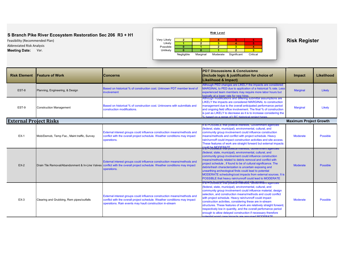Abbreviated Risk Analysis



| <b>Risk Element</b>           | <b>Feature of Work</b>                      | <b>Concerns</b>                                                                                                                                                                                                                                                                                                                                                                                                                        | <b>PDT Discussions &amp; Conclusions</b><br>(Include logic & justification for choice of<br>Likelihood & Impact)                                                                                                                                                                                                                                                                                                                                                                                                                                                            | Impact                        | Likelihood      |
|-------------------------------|---------------------------------------------|----------------------------------------------------------------------------------------------------------------------------------------------------------------------------------------------------------------------------------------------------------------------------------------------------------------------------------------------------------------------------------------------------------------------------------------|-----------------------------------------------------------------------------------------------------------------------------------------------------------------------------------------------------------------------------------------------------------------------------------------------------------------------------------------------------------------------------------------------------------------------------------------------------------------------------------------------------------------------------------------------------------------------------|-------------------------------|-----------------|
| EST-8                         | Planning, Engineering, & Design             | Although PED changes are LIKELY the impacts are considered<br>MARGINAL to PED due to application of a historical % rate. Less<br>Based on historical % of construction cost. Unknown PDT member level of<br>experienced team members may require more labor hours but<br><b>involvement</b><br>typically at a lower rate for new hires.<br>Although modifications and differing submittal assumptions are                              |                                                                                                                                                                                                                                                                                                                                                                                                                                                                                                                                                                             | <b>Marginal</b>               | Likely          |
| EST-9                         | <b>Construction Management</b>              | LIKELY the impacts are considered MARGINAL to construction<br>Based on historical % of construction cost. Unknowns with submittals and<br>management due to the overall anticipated performance period<br>construction modifications.<br>and ongoing field office involvement. The final % of construction<br>is just as LIKELY to decrease as it is to increase considering the<br>% based on a range of LRC historical project types |                                                                                                                                                                                                                                                                                                                                                                                                                                                                                                                                                                             | <b>Marginal</b>               | Likely          |
| <b>External Project Risks</b> |                                             |                                                                                                                                                                                                                                                                                                                                                                                                                                        |                                                                                                                                                                                                                                                                                                                                                                                                                                                                                                                                                                             | <b>Maximum Project Growth</b> |                 |
| $EX-1$                        | Mob/Demob, Temp Fac., Maint traffic, Survey | External interest groups could influence construction means/methods and<br>conflict with the overall project schedule. Weather conditions may impact<br>operations.                                                                                                                                                                                                                                                                    | It is POSSIBLE that political interests, Government agencies<br>(federal, state, municipal), environmental, cultural, and<br>community group involvement could influence construction<br>means/methods and conflict with project schedule. Heavy<br>rain/runnoff could impact construction activities and site access.<br>These features of work are straight forward but external impacts<br>Muld be MODERATE<br>It is POSSIBLE that pointcal interests, Government agencies                                                                                               | <b>Moderate</b>               | <b>Possible</b> |
| $EX-2$                        |                                             | External interest groups could influence construction means/methods and<br>Drain Tile Removal/Abandonment & In-Line Valves conflict with the overall project schedule. Weather conditions may impact<br>operations.                                                                                                                                                                                                                    | (federal, state, municipal), environmental, cultural, and<br>community group involvement could influence construction<br>means/methods related to debris removal and conflict with<br>project schedule, if found to be of cultural significance. The<br>debris/trash characterization is uncertain exposing and<br>unearthing archeological finds could lead to potential<br>MODERATE scheduling/cost impacts from external sources. It is<br>POSSIBLE that heavy rain/runnoff could lead to MODERATE<br>ims?POSSiBCE that pointear interests, Government agencies          | <b>Moderate</b>               | <b>Possible</b> |
| $EX-3$                        | Clearing and Grubbing, Rem pipes/outfalls   | External interest groups could influence construction means/methods and<br>conflict with the overall project schedule. Weather conditions may impact<br>operations. Rain events may hault construction in-stream                                                                                                                                                                                                                       | (federal, state, municipal), environmental, cultural, and<br>community group involvement could influence material, design<br>selection, and construction means/methods and could conflict<br>with project schedule. Heavy rain/runnoff could impact<br>construction activities, considering these are in-stream<br>structures. These features of work are relatively straight forward,<br>respectively low in quantity, and the overall perfomance period<br>enough to allow delayed construction if necessary therefore<br>Montial worst case impacts are assumed MODERATE | <b>Moderate</b>               | <b>Possible</b> |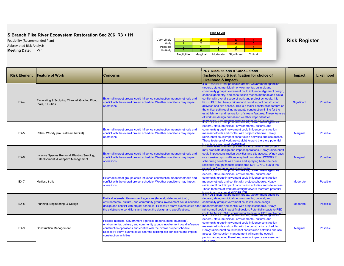Abbreviated Risk Analysis



| <b>Risk Element</b> | <b>Feature of Work</b>                                                              | <b>Concerns</b>                                                                                                                                                                                                                                                                                                                         | <b>PDT Discussions &amp; Conclusions</b><br>(Include logic & justification for choice of<br>Likelihood & Impact)                                                                                                                                                                                                                                                                                                                                                                                                                                                                                                                                                 | <b>Impact</b>   | Likelihood      |
|---------------------|-------------------------------------------------------------------------------------|-----------------------------------------------------------------------------------------------------------------------------------------------------------------------------------------------------------------------------------------------------------------------------------------------------------------------------------------|------------------------------------------------------------------------------------------------------------------------------------------------------------------------------------------------------------------------------------------------------------------------------------------------------------------------------------------------------------------------------------------------------------------------------------------------------------------------------------------------------------------------------------------------------------------------------------------------------------------------------------------------------------------|-----------------|-----------------|
| $EX-4$              | Excavating & Sculpting Channel, Grading Flood<br>Plain, & Gullies                   | External interest groups could influence construction means/methods and<br>conflict with the overall project schedule. Weather conditions may impact<br>operations.                                                                                                                                                                     | it is POSSIBLE that pointcal interests, Government agencies<br>(federal, state, municipal), environmental, cultural, and<br>community group involvement could influence alignment design,<br>channel geometry, and construction means/methods and could<br>conflict with overall scope of work and project schedule. It is<br>POSSIBLE that heavy rain/runnoff could impact construction<br>activities and site access. This is a major construction feature on<br>the critical path requiring adequate construction timing for the<br>establishment and restoration of stream features. These features<br>of work are design critical and weather dependant for | Significant     | <b>Possible</b> |
| $EX-5$              | Riffles, Woody jam (instream habitat)                                               | External interest groups could influence construction means/methods and<br>conflict with the overall project schedule. Weather conditions may impact<br>operations.                                                                                                                                                                     | It is POSSIBLE that political interests, Government agencies<br>(federal, state, municipal), environmental, cultural, and<br>community group involvement could influence construction<br>means/methods and conflict with project schedule. Heavy<br>rain/runnoff could impact construction activities and site access.<br>These features of work are straight forward therefore potential<br>ppacts are assumed MARGINAL                                                                                                                                                                                                                                         | <b>Marginal</b> | <b>Possible</b> |
| $EX-6$              | Invasive Species Removal, Planting/Seeding,<br>Establishment, & Adaptive Management | External interest groups could influence construction means/methods and<br>conflict with the overall project schedule. Weather conditions may impact<br>operations.                                                                                                                                                                     | External influences and private property owners near project<br>may predicate design and impact operations. Heavy rain/runnoff<br>could impact construction activities and site access. Windy days<br>or extensive dry conditions may halt burn days. POSSIBLE<br>scheduling conflicts with burns and spraying herbicide near<br>residents though impacts considered MARGINAL due to the<br>werall nerformance neriod anticinated                                                                                                                                                                                                                                | <b>Marginal</b> | <b>Possible</b> |
| <b>EX-7</b>         | Multiuse trails                                                                     | External interest groups could influence construction means/methods and<br>conflict with the overall project schedule. Weather conditions may impact<br>operations.                                                                                                                                                                     | It is POSSIBLE that political interests, Government agencies<br>(federal, state, municipal), environmental, cultural, and<br>community group involvement could influence construction<br>means/methods and conflict with project schedule. Heavy<br>rain/runnoff could impact construction activities and site access.<br>These features of work are straight forward therefore potential<br>nnacts are assumed MODERATE                                                                                                                                                                                                                                         | <b>Moderate</b> | <b>Possible</b> |
| $EX-8$              | Planning, Engineering, & Design                                                     | Political interests, Government agencies (federal, state, municipal),<br>environmental, cultural, and community groups involvement could influence<br>design and conflict with project schedule. Excessive storm events could alter<br>the existing site conditions and impact the design and specifications.                           | It is POSSIBLE that political interests, Government agencies<br>(federal, state, municipal), environmental, cultural, and<br>community group involvement could influence design<br>means/methods and conflict with project schedule. Heavy<br>rain/runnoff could impact final design. Potential impacts to PED<br>ould be MODERATE considering the level of PDT involvement                                                                                                                                                                                                                                                                                      | <b>Moderate</b> | <b>Possible</b> |
| <b>EX-9</b>         | <b>Construction Management</b>                                                      | Political interests, Government agencies (federal, state, municipal),<br>environmental, cultural, and community groups involvement could influence<br>construction operations and conflict with the overall project schedule.<br>Excessive storm events could alter the existing site conditions and impact<br>construction activities. | It is POSSIBLE that political interests, Government agencies<br>(federal, state, municipal), environmental, cultural, and<br>community group involvement could influence construction<br>means/methods and conflict with the construction schedule.<br>Heavy rain/runnoff could impact construction activities and site<br>access. Construction management will span the overall<br>performance period therefore potential impacts are assumed<br><b>IANDOINAL</b>                                                                                                                                                                                               | <b>Marginal</b> | <b>Possible</b> |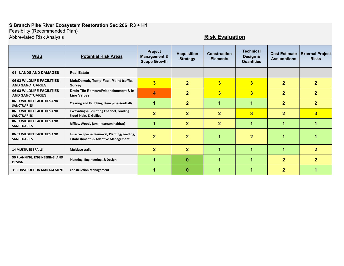Feasibilit y (Recommended Plan)

Abbreviated Risk Analysis **Risk Evaluation**

| <b>WBS</b>                                          | <b>Potential Risk Areas</b>                                                                    | <b>Project</b><br><b>Management &amp;</b><br><b>Scope Growth</b> | <b>Acquisition</b><br><b>Strategy</b> | <b>Construction</b><br><b>Elements</b> | <b>Technical</b><br>Design &<br><b>Quantities</b> | <b>Cost Estimate</b><br><b>Assumptions</b> | <b>External Project</b><br><b>Risks</b> |
|-----------------------------------------------------|------------------------------------------------------------------------------------------------|------------------------------------------------------------------|---------------------------------------|----------------------------------------|---------------------------------------------------|--------------------------------------------|-----------------------------------------|
| 01 LANDS AND DAMAGES                                | <b>Real Estate</b>                                                                             |                                                                  |                                       |                                        |                                                   |                                            |                                         |
| 06 03 WILDLIFE FACILITIES<br><b>AND SANCTUARIES</b> | Mob/Demob, Temp Fac., Maint traffic,<br><b>Survey</b>                                          | $\overline{\mathbf{3}}$                                          | $\mathbf{2}$                          | $\overline{3}$                         | $\overline{\mathbf{3}}$                           | $\overline{2}$                             | 2 <sup>1</sup>                          |
| 06 03 WILDLIFE FACILITIES<br><b>AND SANCTUARIES</b> | Drain Tile Removal/Abandonment & In-<br><b>Line Valves</b>                                     | 4                                                                | $\mathbf{2}$                          | $\overline{3}$                         | $\overline{\mathbf{3}}$                           | $\overline{2}$                             | $\overline{2}$                          |
| 06 03 WILDLIFE FACILITIES AND<br><b>SANCTUARIES</b> | Clearing and Grubbing, Rem pipes/outfalls                                                      | 1                                                                | $\mathbf{2}$                          | 1                                      | 1                                                 | $\overline{2}$                             | $\overline{2}$                          |
| 06 03 WILDLIFE FACILITIES AND<br><b>SANCTUARIES</b> | <b>Excavating &amp; Sculpting Channel, Grading</b><br>Flood Plain, & Gullies                   | $\overline{2}$                                                   | $\overline{2}$                        | $\mathbf{2}$                           | $\overline{\mathbf{3}}$                           | $\overline{2}$                             | 3                                       |
| 06 03 WILDLIFE FACILITIES AND<br><b>SANCTUARIES</b> | Riffles, Woody jam (instream habitat)                                                          | 1                                                                | $\mathbf{2}$                          | $\mathbf{2}$                           | 1                                                 | 1                                          |                                         |
| 06 03 WILDLIFE FACILITIES AND<br><b>SANCTUARIES</b> | Invasive Species Removal, Planting/Seeding,<br><b>Establishment, &amp; Adaptive Management</b> | $\overline{2}$                                                   | $\overline{2}$                        |                                        | 2                                                 |                                            |                                         |
| <b>14 MULTIUSE TRAILS</b>                           | <b>Multiuse trails</b>                                                                         | $\mathbf{2}$                                                     | $\mathbf{2}$                          | 4                                      | 1                                                 | 1                                          | $\mathbf{2}$                            |
| 30 PLANNING, ENGINEERING, AND<br><b>DESIGN</b>      | Planning, Engineering, & Design                                                                | 1                                                                | $\bf{0}$                              | 4                                      | 1                                                 | $\overline{2}$                             | $\overline{2}$                          |
| <b>31 CONSTRUCTION MANAGEMENT</b>                   | <b>Construction Management</b>                                                                 |                                                                  | $\bf{0}$                              |                                        |                                                   | $\overline{2}$                             |                                         |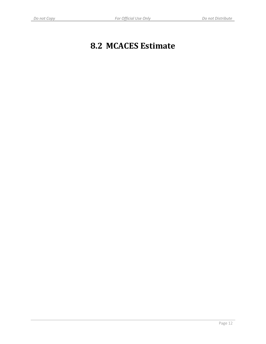# **8.2 MCACES Estimate**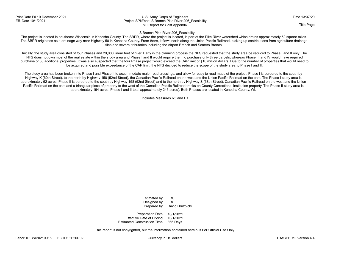### Print Date Fri 10 December 2021 **Time 13:37:20** U.S. Army Corps of Engineers **Time 13:37:20** Time 13:37:20 Eff. Date 10/1/2021 **Ether and Election Project SPKFeas: S Branch Pike River 206 Feasibility** MII Report for Cost Appendix Title Page of the Cost Appendix Title Page of the Cost Appendix Title Page of the Title Page

### S Branch Pike River 206\_Feasibility

The project is located in southeast Wisconsin in Kenosha County. The SBPR, where the project is located, is part of the Pike River watershed which drains approximately 52 square miles. The SBPR originates as a drainage way near Highway 50 in Kenosha County. From there, it flows north along the Union Pacific Railroad, picking up contributions from agriculture drainage tiles and several tributaries including the Airport Branch and Somers Branch.

Initially, the study area consisted of four Phases and 29,000 linear feet of river. Early in the planning process the NFS requested that the study area be reduced to Phase I and II only. The NFS does not own most of the real estate within the study area and Phase I and II would require them to purchase only three parcels, whereas Phase III and IV would have required purchase of 30 additional properties. It was also suspected that the four Phase project would exceed the CAP limit of \$10 million dollars. Due to the number of properties that would need to be acquired and possible exceedance of the CAP limit, the NFS decided to reduce the scope of the study area to Phase I and II.

The study area has been broken into Phase I and Phase II to accommodate major road crossings, and allow for easy to read maps of the project. Phase I is bordered to the south by Highway K (60th Street), to the north by Highway 158 (52nd Street), the Canadian Pacific Railroad on the west and the Union Pacific Railroad on the east. The Phase I study area is approximately 52 acres. Phase II is bordered to the south by Highway 158 (52nd Street) and to the north by Highway S (38th Street), Canadian Pacific Railroad on the west and the Union Pacific Railroad on the east and a triangular piece of property to the west of the Canadian Pacific Railroad tracks on County Correctional Institution property. The Phase II study area is approximately 194 acres. Phase I and II total approximately 246 acres). Both Phases are located in Kenosha County, WI.

Includes Measures R3 and H1

Prepared by David Druzbicki Estimated by LRC<br>Designed by LRC Designed by

Estimated Construction Time 365 Days Effective Date of Pricing 10/1/2021 Preparation Date 10/1/2021

This report is not copyrighted, but the information contained herein is For Official Use Only.

Labor ID: WI20210015 EQ ID: EP20R02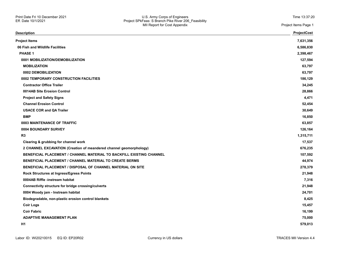| Description                                                          | <b>ProjectCost</b> |
|----------------------------------------------------------------------|--------------------|
| Project Items                                                        | 7,631,356          |
| 06 Fish and Wildlife Facilities                                      | 6,586,830          |
| <b>PHASE 1</b>                                                       | 2,398,467          |
| 0001 MOBILIZATION/DEMOBILIZATION                                     | 127,594            |
| <b>MOBILIZATION</b>                                                  | 63,797             |
| 0002 DEMOBILIZATION                                                  | 63,797             |
| 0002 TEMPORARY CONSTRUCTION FACILITIES                               | 186,129            |
| <b>Contractor Office Trailer</b>                                     | 34,245             |
| 0014AB Site Erosion Control                                          | 28,866             |
| <b>Project and Safety Signs</b>                                      | 4,471              |
| <b>Channel Erosion Control</b>                                       | 52,454             |
| <b>USACE COR and QA Trailer</b>                                      | 30,649             |
| <b>BMP</b>                                                           | 16,850             |
| 0003 MAINTENANCE OF TRAFFIC                                          | 63,857             |
| 0004 BOUNDARY SURVEY                                                 | 126,164            |
| R <sub>3</sub>                                                       | 1,315,711          |
| Clearing & grubbing for channel work                                 | 17,537             |
| 2 CHANNEL EXCAVATION (Creation of meandered channel geomorphology)   | 676,235            |
| BENEFICIAL PLACEMENT / CHANNEL MATERIAL TO BACKFILL EXISTING CHANNEL | 107,592            |
| <b>BENEFICIAL PLACEMENT / CHANNEL MATERIAL TO CREATE BERMS</b>       | 44,974             |
| <b>BENEFICIAL PLACEMENT / DISPOSAL OF CHANNEL MATERIAL ON SITE</b>   | 278,379            |
| Rock Structures at Ingress/Egress Points                             | 21,948             |
| 0004AB Riffle -instream habitat                                      | 7,316              |
| Connectivity structure for bridge crossing/culverts                  | 21,948             |
| 0004 Woody jam - Instream habitat                                    | 24,701             |
| Biodegradable, non-plastic erosion control blankets                  | 8,425              |
| <b>Coir Logs</b>                                                     | 15,457             |
| <b>Coir Fabric</b>                                                   | 16,199             |
| <b>ADAPTIVE MANAGEMENT PLAN</b>                                      | 75,000             |
| H1                                                                   | 579,013            |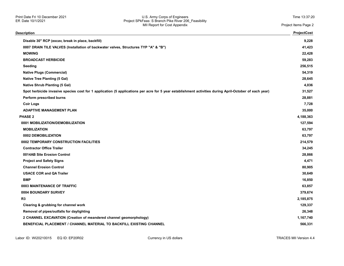### Print Date Fri 10 December 2021 U.S. Army Corps of Engineers Time 13:37:20 Eff. Date 10/1/2021 Project SPkFeas: S Branch Pike River 206\_Feasibility MII Report for Cost Appendix Project Items Page 2

| Description                                                                                                                                            | ProjectCost |
|--------------------------------------------------------------------------------------------------------------------------------------------------------|-------------|
| Disable 30" RCP (excav, break in place, backfill)                                                                                                      | 9,228       |
| 0007 DRAIN TILE VALVES (Installation of backwater valves, Structures TYP "A" & "B")                                                                    | 41,423      |
| <b>MOWING</b>                                                                                                                                          | 22,428      |
| <b>BROADCAST HERBICIDE</b>                                                                                                                             | 59,283      |
| Seeding                                                                                                                                                | 256,515     |
| <b>Native Plugs (Commercial)</b>                                                                                                                       | 54,319      |
| <b>Native Tree Planting (5 Gal)</b>                                                                                                                    | 28,645      |
| <b>Native Shrub Planting (5 Gal)</b>                                                                                                                   | 4,036       |
| Spot herbicide invasive species cost for 1 application (5 applications per acre for 5 year establishment activities during April-October of each year) | 31,527      |
| Perform prescribed burns                                                                                                                               | 28,881      |
| <b>Coir Logs</b>                                                                                                                                       | 7,728       |
| <b>ADAPTIVE MANAGEMENT PLAN</b>                                                                                                                        | 35,000      |
| <b>PHASE 2</b>                                                                                                                                         | 4,188,363   |
| 0001 MOBILIZATION/DEMOBILIZATION                                                                                                                       | 127,594     |
| <b>MOBILIZATION</b>                                                                                                                                    | 63,797      |
| 0002 DEMOBILIZATION                                                                                                                                    | 63,797      |
| 0002 TEMPORARY CONSTRUCTION FACILITIES                                                                                                                 | 214,579     |
| <b>Contractor Office Trailer</b>                                                                                                                       | 34,245      |
| 0014AB Site Erosion Control                                                                                                                            | 28,866      |
| <b>Project and Safety Signs</b>                                                                                                                        | 4,471       |
| <b>Channel Erosion Control</b>                                                                                                                         | 80,905      |
| <b>USACE COR and QA Trailer</b>                                                                                                                        | 30,649      |
| <b>BMP</b>                                                                                                                                             | 16,850      |
| 0003 MAINTENANCE OF TRAFFIC                                                                                                                            | 63,857      |
| 0004 BOUNDARY SURVEY                                                                                                                                   | 379,674     |
| R <sub>3</sub>                                                                                                                                         | 2,185,875   |
| Clearing & grubbing for channel work                                                                                                                   | 129,337     |
| Removal of pipes/outfalls for daylighting                                                                                                              | 26,348      |
| 2 CHANNEL EXCAVATION (Creation of meandered channel geomorphology)                                                                                     | 1,167,740   |
| <b>BENEFICIAL PLACEMENT / CHANNEL MATERIAL TO BACKFILL EXISTING CHANNEL</b>                                                                            | 566,331     |
|                                                                                                                                                        |             |

Labor ID: WI20210015 EQ ID: EP20R02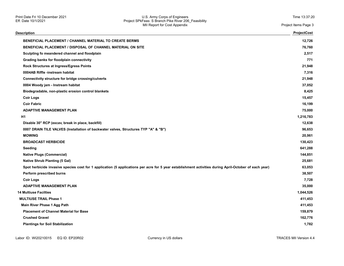| Description                                                                                                                                            | <b>ProjectCost</b> |
|--------------------------------------------------------------------------------------------------------------------------------------------------------|--------------------|
| <b>BENEFICIAL PLACEMENT / CHANNEL MATERIAL TO CREATE BERMS</b>                                                                                         | 12,726             |
| BENEFICIAL PLACEMENT / DISPOSAL OF CHANNEL MATERIAL ON SITE                                                                                            | 76,760             |
| Sculpting fo meandered channel and floodplain                                                                                                          | 2,517              |
| Grading banks for floodplain connectivity                                                                                                              | 771                |
| Rock Structures at Ingress/Egress Points                                                                                                               | 21,948             |
| 0004AB Riffle -instream habitat                                                                                                                        | 7,316              |
| Connectivity structure for bridge crossing/culverts                                                                                                    | 21,948             |
| 0004 Woody jam - Instream habitat                                                                                                                      | 37,052             |
| Biodegradable, non-plastic erosion control blankets                                                                                                    | 8,425              |
| <b>Coir Logs</b>                                                                                                                                       | 15,457             |
| <b>Coir Fabric</b>                                                                                                                                     | 16,199             |
| <b>ADAPTIVE MANAGEMENT PLAN</b>                                                                                                                        | 75,000             |
| H1                                                                                                                                                     | 1,216,783          |
| Disable 30" RCP (excav, break in place, backfill)                                                                                                      | 12,638             |
| 0007 DRAIN TILE VALVES (Installation of backwater valves, Structures TYP "A" & "B")                                                                    | 96,653             |
| <b>MOWING</b>                                                                                                                                          | 20,961             |
| <b>BROADCAST HERBICIDE</b>                                                                                                                             | 130,423            |
| <b>Seeding</b>                                                                                                                                         | 641,288            |
| <b>Native Plugs (Commercial)</b>                                                                                                                       | 144,851            |
| <b>Native Shrub Planting (5 Gal)</b>                                                                                                                   | 25,681             |
| Spot herbicide invasive species cost for 1 application (5 applications per acre for 5 year establishment activities during April-October of each year) | 63,053             |
| Perform prescribed burns                                                                                                                               | 38,507             |
| <b>Coir Logs</b>                                                                                                                                       | 7,728              |
| <b>ADAPTIVE MANAGEMENT PLAN</b>                                                                                                                        | 35,000             |
| <b>14 Multiuse Facilties</b>                                                                                                                           | 1,044,526          |
| <b>MULTIUSE TRAIL Phase 1</b>                                                                                                                          | 411,453            |
| Main River Phase 1 Agg Path                                                                                                                            | 411,453            |
| <b>Placement of Channel Material for Base</b>                                                                                                          | 159,879            |
| <b>Crushed Gravel</b>                                                                                                                                  | 162,776            |
| <b>Plantings for Soil Stabilization</b>                                                                                                                | 1,782              |
|                                                                                                                                                        |                    |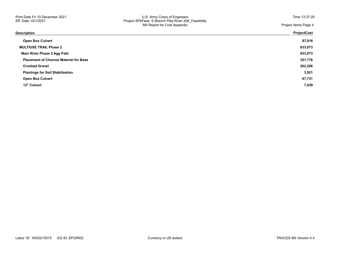| Description                                   | <b>ProjectCost</b> |
|-----------------------------------------------|--------------------|
| <b>Open Box Culvert</b>                       | 87,016             |
| <b>MULTIUSE TRAIL Phase 2</b>                 | 633,073            |
| Main River Phase 2 Agg Path                   | 633,073            |
| <b>Placement of Channel Material for Base</b> | 351,776            |
| <b>Crushed Gravel</b>                         | 202,206            |
| <b>Plantings for Soil Stabilization</b>       | 3,921              |
| <b>Open Box Culvert</b>                       | 67,731             |
| 12" Culvert                                   | 7,439              |
|                                               |                    |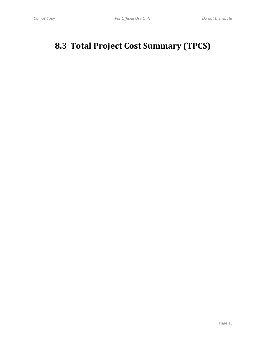# **8.3 Total Project Cost Summary (TPCS)**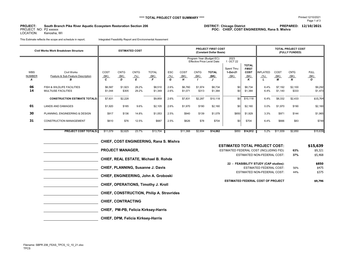### **PROJECT:DISTRICT: Chicago District PREPARED: 12/10/2021 South Branch Pike River Aquatic Ecosystem Restoration Section 206**

PROJECT NO: P2 xxxxxx LOCATION: Kenosha, WI **POC: CHIEF, COST ENGINEERING, Rana S. Mishra**

This Estimate reflects the scope and schedule in report; Integrated Feasibility Report and Environmental Assesment

|                                  | Civil Works Work Breakdown Structure                                                             |                               | <b>ESTIMATED COST</b>       |                          |                               | <b>PROJECT FIRST COST</b><br>(Constant Dollar Basis) |                               |                             |                                                                                         |                                                     |                                                   |                         | <b>TOTAL PROJECT COST</b><br>(FULLY FUNDED) |                             |                                     |  |
|----------------------------------|--------------------------------------------------------------------------------------------------|-------------------------------|-----------------------------|--------------------------|-------------------------------|------------------------------------------------------|-------------------------------|-----------------------------|-----------------------------------------------------------------------------------------|-----------------------------------------------------|---------------------------------------------------|-------------------------|---------------------------------------------|-----------------------------|-------------------------------------|--|
| <b>WBS</b><br><b>NUMBER</b><br>A | <b>Civil Works</b><br>Feature & Sub-Feature Description<br>в                                     | COST<br>(SK)<br>C             | <b>CNTG</b><br>(SK)<br>D    | <b>CNTG</b><br>(% )<br>E | <b>TOTAL</b><br>(SK)          | <b>ESC</b><br>(% )<br>G                              | COST<br>(SK)<br>H             | <b>CNTG</b><br>(SK)         | Program Year (Budget EC):<br><b>Effective Price Level Date:</b><br><b>TOTAL</b><br>(SK) | 2023<br>1 OCT 22<br>Spent Thru:<br>1-Oct-21<br>(SK) | <b>TOTAL</b><br><b>FIRST</b><br>COST<br>(SK)<br>K | <b>INFLATED</b><br>(% ) | COST<br>(SK)<br>М                           | <b>CNTG</b><br>(SK)<br>N    | <b>FULL</b><br>(SK)<br>$\mathbf{o}$ |  |
| 06<br>14                         | FISH & WILDLIFE FACILITIES<br><b>MULTIUSE FACILITIES</b><br><b>CONSTRUCTION ESTIMATE TOTALS:</b> | \$6,587<br>\$1,044<br>\$7,631 | \$1,923<br>\$305<br>\$2,228 | 29.2%<br>29.2%           | \$8,510<br>\$1,349<br>\$9,859 | 2.6%<br>2.6%<br>2.6%                                 | \$6,760<br>\$1,071<br>\$7,831 | \$1,974<br>\$313<br>\$2,287 | \$8,734<br>\$1,384<br>\$10,118                                                          | \$0<br>\$0<br>\$0                                   | \$8,734<br>\$1,384<br>\$10,118                    | 6.4%<br>6.4%<br>6.4%    | \$7,192<br>\$1,140<br>\$8,332               | \$2,100<br>\$333<br>\$2,433 | \$9,292<br>\$1,473<br>\$10,764      |  |
| 01<br>30                         | <b>LANDS AND DAMAGES</b><br>PLANNING, ENGINEERING & DESIGN                                       | \$1,920<br>\$917              | \$185<br>\$136              | 9.6%<br>14.8%            | \$2,105<br>\$1,053            | 2.6%<br>2.5%                                         | \$1,970<br>\$940              | \$190<br>\$139              | \$2,160<br>\$1,079                                                                      | \$0<br>\$850                                        | \$2,160<br>\$1,929                                | $0.0\%$<br>3.3%         | \$1,970<br>\$971                            | \$190<br>\$144              | \$2,160<br>\$1,965                  |  |
| 31                               | <b>CONSTRUCTION MANAGEMENT</b>                                                                   | \$610                         | \$76                        | 12.5%                    | \$687                         | 2.5%                                                 | \$626                         | \$78                        | \$704                                                                                   | \$0                                                 | \$704                                             | 6.4%                    | \$666                                       | \$83                        | \$749                               |  |
|                                  | <b>PROJECT COST TOTALS:</b>                                                                      | \$11,079                      | \$2,625                     | 23.7%                    | \$13,704                      |                                                      | \$11,368                      | \$2,694                     | \$14,062                                                                                | \$850                                               | \$14,912                                          | 5.2%                    | \$11,939                                    | \$2,850                     | \$15,639                            |  |

| <b>CHIEF, COST ENGINEERING, Rana S. Mishra</b>   |
|--------------------------------------------------|
| <b>PROJECT MANAGER,</b>                          |
| <b>CHIEF, REAL ESTATE, Michael B. Rohde</b>      |
| <b>CHIEF, PLANNING, Susanne J. Davis</b>         |
| CHIEF, ENGINEERING, John A. Groboski             |
| CHIEF, OPERATIONS, Timothy J. Kroll              |
| <b>CHIEF, CONSTRUCTION, Philip A. Stravrides</b> |
| <b>CHIEF, CONTRACTING</b>                        |
| CHIEF, PM-PB, Felicia Kirksey-Harris             |
| <b>CHIEF, DPM, Felicia Kirksey-Harris</b>        |
|                                                  |

| <u>UTILI, UUUT LIIUIIILLIIIIU, Raha U. Mishia</u> |                                          |     |          |
|---------------------------------------------------|------------------------------------------|-----|----------|
|                                                   | <b>ESTIMATED TOTAL PROJECT COST:</b>     |     | \$15,639 |
| <b>PROJECT MANAGER,</b>                           | ESTIMATED FEDERAL COST (INCLUDING FID):  | 63% | \$9,321  |
|                                                   | ESTIMATED NON-FEDERAL COST:              | 37% | \$5,468  |
| <b>CHIEF, REAL ESTATE, Michael B. Rohde</b>       |                                          |     |          |
|                                                   | 22 - FEASIBILITY STUDY (CAP studies):    |     | \$850    |
| <b>CHIEF, PLANNING, Susanne J. Davis</b>          | <b>ESTIMATED FEDERAL COST:</b>           | 56% | \$475    |
|                                                   | ESTIMATED NON-FEDERAL COST:              | 44% | \$375    |
| CHIEF, ENGINEERING, John A. Groboski              |                                          |     |          |
|                                                   | <b>ESTIMATED FEDERAL COST OF PROJECT</b> |     | \$9,796  |
| <b>CHIEF, OPERATIONS, Timothy J. Kroll</b>        |                                          |     |          |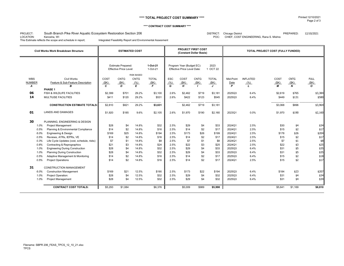### **\*\*\*\* TOTAL PROJECT COST SUMMARY \*\*\*\***

### **\*\*\*\* CONTRACT COST SUMMARY \*\*\*\***

### PROJECT:<br>LOCATION: DISTRICT: Chicago District PREPARED: 12/10/2021 South Branch Pike River Aquatic Ecosystem Restoration Section 206

LOCATION: Kenosha, WI COLOREGIST CONTENT ON THE SERVICE CHIEF, COST ENGINEERING, Rana S. Mishra<br>This Estimate reflects the scope and schedule in report; Integrated Feasibility Report and Environmental Assesment

Integrated Feasibility Report and Environmental Assesment

| Civil Works Work Breakdown Structure               |              | <b>ESTIMATED COST</b>                                      |                   |                      |            | <b>PROJECT FIRST COST</b><br>(Constant Dollar Basis)     |              |                  | TOTAL PROJECT COST (FULLY FUNDED) |                 |         |                  |             |  |
|----------------------------------------------------|--------------|------------------------------------------------------------|-------------------|----------------------|------------|----------------------------------------------------------|--------------|------------------|-----------------------------------|-----------------|---------|------------------|-------------|--|
|                                                    |              | <b>Estimate Prepared:</b><br><b>Effective Price Level:</b> |                   | 1-Oct-21<br>1-Oct-21 |            | Program Year (Budget EC):<br>Effective Price Level Date: |              | 2023<br>1 OCT 22 |                                   |                 |         |                  |             |  |
|                                                    |              |                                                            | <b>RISK BASED</b> |                      |            |                                                          |              |                  |                                   |                 |         |                  |             |  |
| <b>WBS</b><br><b>Civil Works</b>                   | COST         | <b>CNTG</b>                                                | <b>CNTG</b>       | <b>TOTAL</b>         | <b>ESC</b> | COST                                                     | <b>CNTG</b>  | <b>TOTAL</b>     | Mid-Point                         | <b>INFLATED</b> | COST    | <b>CNTG</b>      | <b>FULL</b> |  |
| Feature & Sub-Feature Description<br><b>NUMBER</b> | (SK)         | (SK)                                                       | (% )              | (SK)                 | (% )       | (SK)                                                     | (SK)         | (SK)             | Date                              | (% )            | (SK)    | (SK)             | (SK)        |  |
| R<br>Α                                             | $\mathbf{c}$ | D                                                          | E                 | E                    | G          | H                                                        | $\mathbf{I}$ | $\cdot$          | P                                 | $\mathbf{L}$    | М       | $\boldsymbol{N}$ | $\Omega$    |  |
| PHASE 1                                            |              |                                                            |                   |                      |            |                                                          |              |                  |                                   |                 |         |                  |             |  |
| 06<br>FISH & WILDLIFE FACILITIES                   | \$2,399      | \$701                                                      | 29.2%             | \$3,100              | 2.6%       | \$2,462                                                  | \$719        | \$3,181          | 2025Q3                            | 6.4%            | \$2,619 | \$765            | \$3,384     |  |
| 14<br><b>MULTIUSE FACILITIES</b>                   | \$411        | \$120                                                      | 29.2%             | \$531                | 2.6%       | \$422                                                    | \$123        | \$545            | 2025Q3                            | 6.4%            | \$449   | \$131            | \$580       |  |
| <b>CONSTRUCTION ESTIMATE TOTALS:</b>               | \$2,810      | \$821                                                      | 29.2%             | \$3,631              |            | \$2,462                                                  | \$719        | \$3,181          |                                   |                 | \$3,068 | \$896            | \$3,964     |  |
| 01<br><b>LANDS AND DAMAGES</b>                     | \$1,920      | \$185                                                      | 9.6%              | \$2,105              | 2.6%       | \$1,970                                                  | \$190        | \$2,160          | 2023Q1                            | 0.0%            | \$1,970 | \$190            | \$2,160     |  |
| 30<br>PLANNING, ENGINEERING & DESIGN               |              |                                                            |                   |                      |            |                                                          |              |                  |                                   |                 |         |                  |             |  |
| 1.0%<br><b>Project Management</b>                  | \$28         | \$4                                                        | 14.8%             | \$32                 | 2.5%       | \$29                                                     | \$4          | \$33             | 2024Q1                            | 2.5%            | \$30    | \$4              | \$34        |  |
| Planning & Environmental Compliance<br>0.5%        | \$14         | \$2                                                        | 14.8%             | \$16                 | 2.5%       | \$14                                                     | \$2          | \$17             | 2024Q1                            | 2.5%            | \$15    | \$2              | \$17        |  |
| Engineering & Design<br>6.0%                       | \$169        | \$25                                                       | 14.8%             | \$194                | 2.5%       | \$173                                                    | \$26         | \$199            | 2024Q1                            | 2.5%            | \$178   | \$26             | \$204       |  |
| Reviews, ATRs, IEPRs, VE<br>0.5%                   | \$14         | \$2                                                        | 14.8%             | \$16                 | 2.5%       | \$14                                                     | \$2          | \$17             | 2024Q1                            | 2.5%            | \$15    | \$2              | \$17        |  |
| Life Cycle Updates (cost, schedule, risks)<br>0.3% | \$7          | \$1                                                        | 14.8%             | \$8                  | 2.5%       | \$7                                                      | \$1          | \$8              | 2024Q1                            | 2.5%            | \$7     | \$1              | \$8         |  |
| Contracting & Reprographics<br>0.8%                | \$21         | \$3                                                        | 14.8%             | \$24                 | 2.5%       | \$22                                                     | \$3          | \$25             | 2024Q1                            | 2.5%            | \$22    | \$3              | \$25        |  |
| 1.0%<br><b>Engineering During Construction</b>     | \$28         | \$4                                                        | 14.8%             | \$32                 | 2.5%       | \$29                                                     | \$4          | \$33             | 2025Q3                            | 6.4%            | \$31    | \$5              | \$35        |  |
| <b>Planning During Construction</b><br>1.0%        | \$28         | \$4                                                        | 14.8%             | \$32                 | 2.5%       | \$29                                                     | \$4          | \$33             | 2025Q3                            | 6.4%            | \$31    | \$5              | \$35        |  |
| 0.5%<br>Adaptive Management & Monitoring           | \$14         | \$2                                                        | 14.8%             | \$16                 | 2.5%       | \$14                                                     | \$2          | \$17             | 2025Q3                            | 6.4%            | \$15    | \$2              | \$18        |  |
| 0.5%<br><b>Project Operations</b>                  | \$14         | \$2                                                        | 14.8%             | \$16                 | 2.5%       | \$14                                                     | \$2          | \$17             | 2024Q1                            | 2.5%            | \$15    | \$2              | \$17        |  |
| 31<br><b>CONSTRUCTION MANAGEMENT</b>               |              |                                                            |                   |                      |            |                                                          |              |                  |                                   |                 |         |                  |             |  |
| 6.0%<br><b>Construction Management</b>             | \$169        | \$21                                                       | 12.5%             | \$190                | 2.5%       | \$173                                                    | \$22         | \$194            | 2025Q3                            | 6.4%            | \$184   | \$23             | \$207       |  |
| 1.0%<br>Project Operation:                         | \$28         | \$4                                                        | 12.5%             | \$32                 | 2.5%       | \$29                                                     | \$4          | \$32             | 2025Q3                            | 6.4%            | \$31    | \$4              | \$34        |  |
| 1.0%<br>Project Management                         | \$28         | \$4                                                        | 12.5%             | \$32                 | 2.5%       | \$29                                                     | \$4          | \$32             | 2025Q3                            | 6.4%            | \$31    | \$4              | \$34        |  |
| <b>CONTRACT COST TOTALS:</b>                       | \$5,293      | \$1,084                                                    |                   | \$6,376              |            | \$5,009                                                  | \$989        | \$5,998          |                                   |                 | \$5,641 | \$1,169          | \$6,810     |  |